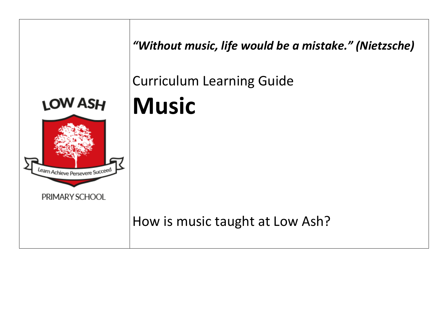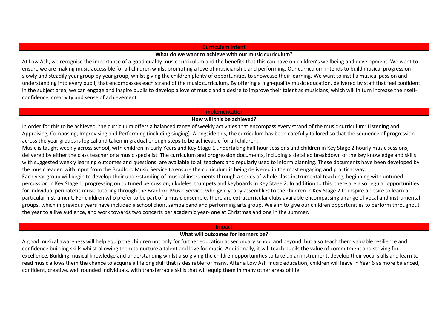#### **Curriculum Intent**

### **What do we want to achieve with our music curriculum?**

At Low Ash, we recognise the importance of a good quality music curriculum and the benefits that this can have on children's wellbeing and development. We want to ensure we are making music accessible for all children whilst promoting a love of musicianship and performing. Our curriculum intends to build musical progression slowly and steadily year group by year group, whilst giving the children plenty of opportunities to showcase their learning. We want to instil a musical passion and understanding into every pupil, that encompasses each strand of the music curriculum. By offering a high-quality music education, delivered by staff that feel confident in the subject area, we can engage and inspire pupils to develop a love of music and a desire to improve their talent as musicians, which will in turn increase their selfconfidence, creativity and sense of achievement.

#### **Implementation**

## **How will this be achieved?**

In order for this to be achieved, the curriculum offers a balanced range of weekly activities that encompass every strand of the music curriculum: Listening and Appraising, Composing, Improvising and Performing (including singing). Alongside this, the curriculum has been carefully tailored so that the sequence of progression across the year groups is logical and taken in gradual enough steps to be achievable for all children.

Music is taught weekly across school, with children in Early Years and Key Stage 1 undertaking half hour sessions and children in Key Stage 2 hourly music sessions, delivered by either the class teacher or a music specialist. The curriculum and progression documents, including a detailed breakdown of the key knowledge and skills with suggested weekly learning outcomes and questions, are available to all teachers and regularly used to inform planning. These documents have been developed by the music leader, with input from the Bradford Music Service to ensure the curriculum is being delivered in the most engaging and practical way.

Each year group will begin to develop their understanding of musical instruments through a series of whole class instrumental teaching, beginning with untuned percussion in Key Stage 1, progressing on to tuned percussion, ukuleles, trumpets and keyboards in Key Stage 2. In addition to this, there are also regular opportunities for individual peripatetic music tutoring through the Bradford Music Service, who give yearly assemblies to the children in Key Stage 2 to inspire a desire to learn a particular instrument. For children who prefer to be part of a music ensemble, there are extracurricular clubs available encompassing a range of vocal and instrumental groups, which in previous years have included a school choir, samba band and performing arts group. We aim to give our children opportunities to perform throughout the year to a live audience, and work towards two concerts per academic year- one at Christmas and one in the summer.

## **Impact**

# **What will outcomes for learners be?**

A good musical awareness will help equip the children not only for further education at secondary school and beyond, but also teach them valuable resilience and confidence building skills whilst allowing them to nurture a talent and love for music. Additionally, it will teach pupils the value of commitment and striving for excellence. Building musical knowledge and understanding whilst also giving the children opportunities to take up an instrument, develop their vocal skills and learn to read music allows them the chance to acquire a lifelong skill that is desirable for many. After a Low Ash music education, children will leave in Year 6 as more balanced, confident, creative, well rounded individuals, with transferrable skills that will equip them in many other areas of life.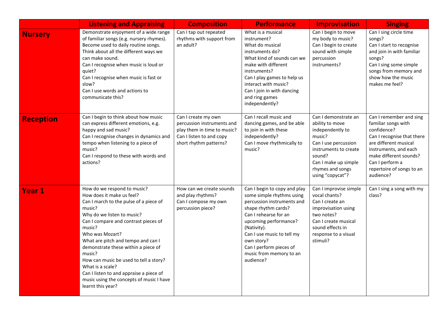|                  | <b>Listening and Appraising</b>                                                                                                                                                                                                                                                                                                                                                                                                                                                  | <b>Composition</b>                                                                                                                     | <b>Performance</b>                                                                                                                                                                                                                                                                             | <b>Improvisation</b>                                                                                                                                                                             | <b>Singing</b>                                                                                                                                                                                                                       |
|------------------|----------------------------------------------------------------------------------------------------------------------------------------------------------------------------------------------------------------------------------------------------------------------------------------------------------------------------------------------------------------------------------------------------------------------------------------------------------------------------------|----------------------------------------------------------------------------------------------------------------------------------------|------------------------------------------------------------------------------------------------------------------------------------------------------------------------------------------------------------------------------------------------------------------------------------------------|--------------------------------------------------------------------------------------------------------------------------------------------------------------------------------------------------|--------------------------------------------------------------------------------------------------------------------------------------------------------------------------------------------------------------------------------------|
| <b>Nursery</b>   | Demonstrate enjoyment of a wide range<br>of familiar songs (e.g. nursery rhymes).<br>Become used to daily routine songs.<br>Think about all the different ways we<br>can make sound.<br>Can I recognise when music is loud or<br>quiet?<br>Can I recognise when music is fast or<br>slow?<br>Can I use words and actions to<br>communicate this?                                                                                                                                 | Can I tap out repeated<br>rhythms with support from<br>an adult?                                                                       | What is a musical<br>instrument?<br>What do musical<br>instruments do?<br>What kind of sounds can we<br>make with different<br>instruments?<br>Can I play games to help us<br>interact with music?<br>Can I join in with dancing<br>and ring games<br>independently?                           | Can I begin to move<br>my body to music?<br>Can I begin to create<br>sound with simple<br>percussion<br>instruments?                                                                             | Can I sing circle time<br>songs?<br>Can I start to recognise<br>and join in with familiar<br>songs?<br>Can I sing some simple<br>songs from memory and<br>show how the music<br>makes me feel?                                       |
| <b>Reception</b> | Can I begin to think about how music<br>can express different emotions, e.g.<br>happy and sad music?<br>Can I recognise changes in dynamics and<br>tempo when listening to a piece of<br>music?<br>Can I respond to these with words and<br>actions?                                                                                                                                                                                                                             | Can I create my own<br>percussion instruments and<br>play them in time to music?<br>Can I listen to and copy<br>short rhythm patterns? | Can I recall music and<br>dancing games, and be able<br>to join in with these<br>independently?<br>Can I move rhythmically to<br>music?                                                                                                                                                        | Can I demonstrate an<br>ability to move<br>independently to<br>music?<br>Can I use percussion<br>instruments to create<br>sound?<br>Can I make up simple<br>rhymes and songs<br>using "copycat"? | Can I remember and sing<br>familiar songs with<br>confidence?<br>Can I recognise that there<br>are different musical<br>instruments, and each<br>make different sounds?<br>Can I perform a<br>repertoire of songs to an<br>audience? |
| <b>Year 1</b>    | How do we respond to music?<br>How does it make us feel?<br>Can I march to the pulse of a piece of<br>music?<br>Why do we listen to music?<br>Can I compare and contrast pieces of<br>music?<br>Who was Mozart?<br>What are pitch and tempo and can I<br>demonstrate these within a piece of<br>music?<br>How can music be used to tell a story?<br>What is a scale?<br>Can I listen to and appraise a piece of<br>music using the concepts of music I have<br>learnt this year? | How can we create sounds<br>and play rhythms?<br>Can I compose my own<br>percussion piece?                                             | Can I begin to copy and play<br>some simple rhythms using<br>percussion instruments and<br>shape rhythm cards?<br>Can I rehearse for an<br>upcoming performance?<br>(Nativity).<br>Can I use music to tell my<br>own story?<br>Can I perform pieces of<br>music from memory to an<br>audience? | Can I improvise simple<br>vocal chants?<br>Can I create an<br>improvisation using<br>two notes?<br>Can I create musical<br>sound effects in<br>response to a visual<br>stimuli?                  | Can I sing a song with my<br>class?                                                                                                                                                                                                  |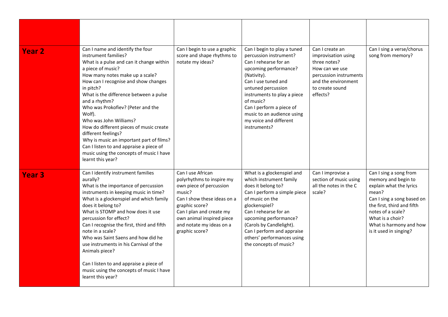| <b>Year 2</b> | Can I name and identify the four<br>instrument families?<br>What is a pulse and can it change within<br>a piece of music?<br>How many notes make up a scale?<br>How can I recognise and show changes<br>in pitch?<br>What is the difference between a pulse<br>and a rhythm?<br>Who was Prokofiev? (Peter and the<br>Wolf).<br>Who was John Williams?<br>How do different pieces of music create<br>different feelings?<br>Why is music an important part of films?<br>Can I listen to and appraise a piece of<br>music using the concepts of music I have<br>learnt this year? | Can I begin to use a graphic<br>score and shape rhythms to<br>notate my ideas?                                                                                                                                                              | Can I begin to play a tuned<br>percussion instrument?<br>Can I rehearse for an<br>upcoming performance?<br>(Nativity).<br>Can I use tuned and<br>untuned percussion<br>instruments to play a piece<br>of music?<br>Can I perform a piece of<br>music to an audience using<br>my voice and different<br>instruments? | Can I create an<br>improvisation using<br>three notes?<br>How can we use<br>percussion instruments<br>and the environment<br>to create sound<br>effects? | Can I sing a verse/chorus<br>song from memory?                                                                                                                                                                                              |
|---------------|---------------------------------------------------------------------------------------------------------------------------------------------------------------------------------------------------------------------------------------------------------------------------------------------------------------------------------------------------------------------------------------------------------------------------------------------------------------------------------------------------------------------------------------------------------------------------------|---------------------------------------------------------------------------------------------------------------------------------------------------------------------------------------------------------------------------------------------|---------------------------------------------------------------------------------------------------------------------------------------------------------------------------------------------------------------------------------------------------------------------------------------------------------------------|----------------------------------------------------------------------------------------------------------------------------------------------------------|---------------------------------------------------------------------------------------------------------------------------------------------------------------------------------------------------------------------------------------------|
| <b>Year 3</b> | Can I identify instrument families<br>aurally?<br>What is the importance of percussion<br>instruments in keeping music in time?<br>What is a glockenspiel and which family<br>does it belong to?<br>What is STOMP and how does it use<br>percussion for effect?<br>Can I recognise the first, third and fifth<br>note in a scale?<br>Who was Saint Saens and how did he<br>use instruments in his Carnival of the<br>Animals piece?<br>Can I listen to and appraise a piece of<br>music using the concepts of music I have<br>learnt this year?                                 | Can I use African<br>polyrhythms to inspire my<br>own piece of percussion<br>music?<br>Can I show these ideas on a<br>graphic score?<br>Can I plan and create my<br>own animal inspired piece<br>and notate my ideas on a<br>graphic score? | What is a glockenspiel and<br>which instrument family<br>does it belong to?<br>Can I perform a simple piece<br>of music on the<br>glockenspiel?<br>Can I rehearse for an<br>upcoming performance?<br>(Carols by Candlelight).<br>Can I perform and appraise<br>others' performances using<br>the concepts of music? | Can I improvise a<br>section of music using<br>all the notes in the C<br>scale?                                                                          | Can I sing a song from<br>memory and begin to<br>explain what the lyrics<br>mean?<br>Can I sing a song based on<br>the first, third and fifth<br>notes of a scale?<br>What is a choir?<br>What is harmony and how<br>is it used in singing? |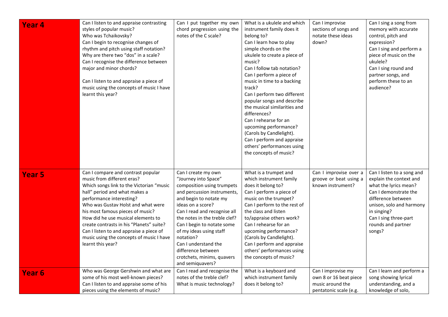| Year <sub>4</sub> | Can I listen to and appraise contrasting<br>styles of popular music?<br>Who was Tchaikovsky?<br>Can I begin to recognise changes of<br>rhythm and pitch using staff notation?<br>Why are there two "dos" in a scale?<br>Can I recognise the difference between<br>major and minor chords?<br>Can I listen to and appraise a piece of<br>music using the concepts of music I have<br>learnt this year?                                             | Can I put together my own<br>chord progression using the<br>notes of the C scale?                                                                                                                                                                                                                                                                                                              | What is a ukulele and which<br>instrument family does it<br>belong to?<br>Can I learn how to play<br>simple chords on the<br>ukulele to create a piece of<br>music?<br>Can I follow tab notation?<br>Can I perform a piece of<br>music in time to a backing<br>track?<br>Can I perform two different<br>popular songs and describe<br>the musical similarities and                  | Can I improvise<br>sections of songs and<br>notate these ideas<br>down?                    | Can I sing a song from<br>memory with accurate<br>control, pitch and<br>expression?<br>Can I sing and perform a<br>piece of music on the<br>ukulele?<br>Can I sing round and<br>partner songs, and<br>perform these to an<br>audience? |
|-------------------|---------------------------------------------------------------------------------------------------------------------------------------------------------------------------------------------------------------------------------------------------------------------------------------------------------------------------------------------------------------------------------------------------------------------------------------------------|------------------------------------------------------------------------------------------------------------------------------------------------------------------------------------------------------------------------------------------------------------------------------------------------------------------------------------------------------------------------------------------------|-------------------------------------------------------------------------------------------------------------------------------------------------------------------------------------------------------------------------------------------------------------------------------------------------------------------------------------------------------------------------------------|--------------------------------------------------------------------------------------------|----------------------------------------------------------------------------------------------------------------------------------------------------------------------------------------------------------------------------------------|
|                   |                                                                                                                                                                                                                                                                                                                                                                                                                                                   |                                                                                                                                                                                                                                                                                                                                                                                                | differences?<br>Can I rehearse for an<br>upcoming performance?<br>(Carols by Candlelight).<br>Can I perform and appraise<br>others' performances using<br>the concepts of music?                                                                                                                                                                                                    |                                                                                            |                                                                                                                                                                                                                                        |
| <b>Year 5</b>     | Can I compare and contrast popular<br>music from different eras?<br>Which songs link to the Victorian "music<br>hall" period and what makes a<br>performance interesting?<br>Who was Gustav Holst and what were<br>his most famous pieces of music?<br>How did he use musical elements to<br>create contrasts in his "Planets" suite?<br>Can I listen to and appraise a piece of<br>music using the concepts of music I have<br>learnt this year? | Can I create my own<br>"Journey into Space"<br>composition using trumpets<br>and percussion instruments,<br>and begin to notate my<br>ideas on a score?<br>Can I read and recognise all<br>the notes in the treble clef?<br>Can I begin to notate some<br>of my ideas using staff<br>notation?<br>Can I understand the<br>difference between<br>crotchets, minims, quavers<br>and semiquavers? | What is a trumpet and<br>which instrument family<br>does it belong to?<br>Can I perform a piece of<br>music on the trumpet?<br>Can I perform to the rest of<br>the class and listen<br>to/appraise others work?<br>Can I rehearse for an<br>upcoming performance?<br>(Carols by Candlelight).<br>Can I perform and appraise<br>others' performances using<br>the concepts of music? | Can I improvise over a<br>groove or beat using a<br>known instrument?                      | Can I listen to a song and<br>explain the context and<br>what the lyrics mean?<br>Can I demonstrate the<br>difference between<br>unison, solo and harmony<br>in singing?<br>Can I sing three-part<br>rounds and partner<br>songs?      |
| <b>Year 6</b>     | Who was George Gershwin and what are<br>some of his most well-known pieces?<br>Can I listen to and appraise some of his<br>pieces using the elements of music?                                                                                                                                                                                                                                                                                    | Can I read and recognise the<br>notes of the treble clef?<br>What is music technology?                                                                                                                                                                                                                                                                                                         | What is a keyboard and<br>which instrument family<br>does it belong to?                                                                                                                                                                                                                                                                                                             | Can I improvise my<br>own 8 or 16 beat piece<br>music around the<br>pentatonic scale (e.g. | Can I learn and perform a<br>song showing lyrical<br>understanding, and a<br>knowledge of solo,                                                                                                                                        |